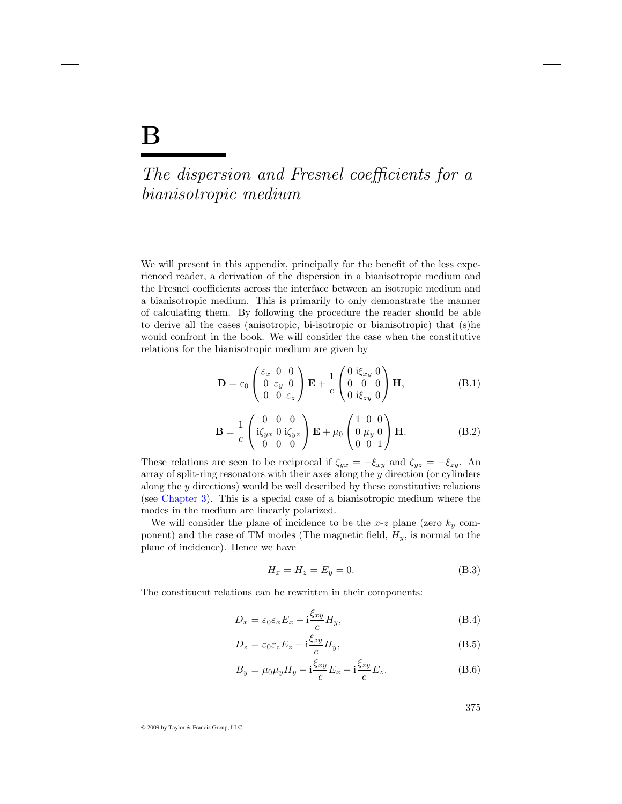## The dispersion and Fresnel coefficients for a bianisotropic medium

We will present in this appendix, principally for the benefit of the less experienced reader, a derivation of the dispersion in a bianisotropic medium and the Fresnel coefficients across the interface between an isotropic medium and a bianisotropic medium. This is primarily to only demonstrate the manner of calculating them. By following the procedure the reader should be able to derive all the cases (anisotropic, bi-isotropic or bianisotropic) that (s)he would confront in the book. We will consider the case when the constitutive relations for the bianisotropic medium are given by

$$
\mathbf{D} = \varepsilon_0 \begin{pmatrix} \varepsilon_x & 0 & 0 \\ 0 & \varepsilon_y & 0 \\ 0 & 0 & \varepsilon_z \end{pmatrix} \mathbf{E} + \frac{1}{c} \begin{pmatrix} 0 & \mathrm{i}\xi_{xy} & 0 \\ 0 & 0 & 0 \\ 0 & \mathrm{i}\xi_{zy} & 0 \end{pmatrix} \mathbf{H}, \tag{B.1}
$$

$$
\mathbf{B} = \frac{1}{c} \begin{pmatrix} 0 & 0 & 0 \\ i\zeta_{yx} & 0 & i\zeta_{yz} \\ 0 & 0 & 0 \end{pmatrix} \mathbf{E} + \mu_0 \begin{pmatrix} 1 & 0 & 0 \\ 0 & \mu_y & 0 \\ 0 & 0 & 1 \end{pmatrix} \mathbf{H}.
$$
 (B.2)

These relations are seen to be reciprocal if  $\zeta_{yx} = -\xi_{xy}$  and  $\zeta_{yz} = -\xi_{zy}$ . An array of split-ring resonators with their axes along the y direction (or cylinders along the  $y$  directions) would be well described by these constitutive relations (see Chapter 3). This is a special case of a bianisotropic medium where the modes in the medium are linearly polarized.

We will consider the plane of incidence to be the x-z plane (zero  $k_y$  component) and the case of TM modes (The magnetic field,  $H_y$ , is normal to the plane of incidence). Hence we have

$$
H_x = H_z = E_y = 0. \tag{B.3}
$$

The constituent relations can be rewritten in their components:

$$
D_x = \varepsilon_0 \varepsilon_x E_x + i \frac{\xi_{xy}}{c} H_y,\tag{B.4}
$$

$$
D_z = \varepsilon_0 \varepsilon_z E_z + \mathrm{i} \frac{\xi_{zy}}{c} H_y,\tag{B.5}
$$

$$
B_y = \mu_0 \mu_y H_y - i \frac{\xi_{xy}}{c} E_x - i \frac{\xi_{zy}}{c} E_z.
$$
 (B.6)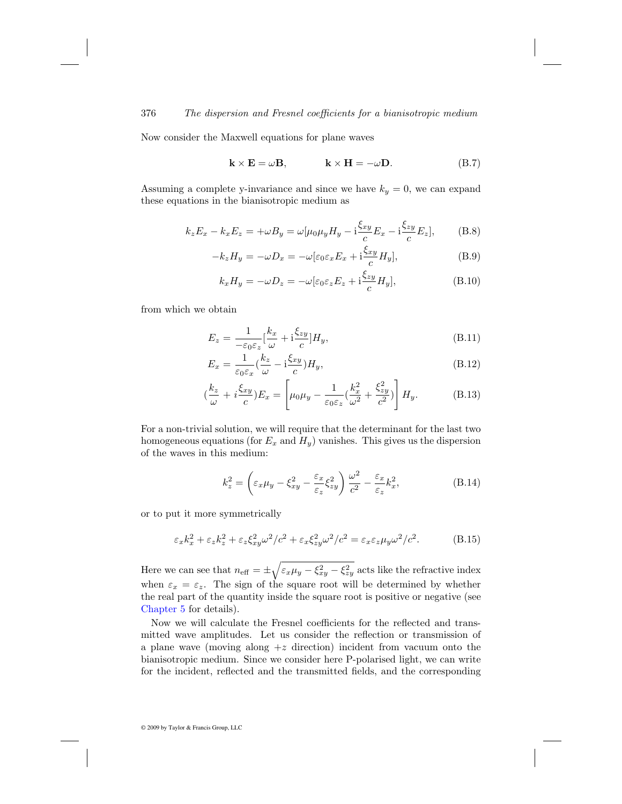Now consider the Maxwell equations for plane waves

$$
\mathbf{k} \times \mathbf{E} = \omega \mathbf{B}, \qquad \qquad \mathbf{k} \times \mathbf{H} = -\omega \mathbf{D}.
$$
 (B.7)

Assuming a complete y-invariance and since we have  $k_y = 0$ , we can expand these equations in the bianisotropic medium as

$$
k_z E_x - k_x E_z = +\omega B_y = \omega[\mu_0 \mu_y H_y - i\frac{\xi_{xy}}{c} E_x - i\frac{\xi_{zy}}{c} E_z],
$$
 (B.8)

$$
-k_z H_y = -\omega D_x = -\omega [\varepsilon_0 \varepsilon_x E_x + i \frac{\xi_{xy}}{c} H_y], \tag{B.9}
$$

$$
k_x H_y = -\omega D_z = -\omega [\varepsilon_0 \varepsilon_z E_z + i \frac{\xi_{zy}}{c} H_y], \tag{B.10}
$$

from which we obtain

$$
E_z = \frac{1}{-\varepsilon_0 \varepsilon_z} \left[\frac{k_x}{\omega} + \mathrm{i} \frac{\xi_{zy}}{c}\right] H_y,\tag{B.11}
$$

$$
E_x = \frac{1}{\varepsilon_0 \varepsilon_x} \left(\frac{k_z}{\omega} - i \frac{\xi_{xy}}{c}\right) H_y,\tag{B.12}
$$

$$
\left(\frac{k_z}{\omega} + i\frac{\xi xy}{c}\right)E_x = \left[\mu_0\mu_y - \frac{1}{\varepsilon_0\varepsilon_z}\left(\frac{k_x^2}{\omega^2} + \frac{\xi^2 xy}{c^2}\right)\right]H_y.
$$
 (B.13)

For a non-trivial solution, we will require that the determinant for the last two homogeneous equations (for  $E_x$  and  $H_y$ ) vanishes. This gives us the dispersion of the waves in this medium:

$$
k_z^2 = \left(\varepsilon_x \mu_y - \xi_{xy}^2 - \frac{\varepsilon_x}{\varepsilon_z} \xi_{zy}^2\right) \frac{\omega^2}{c^2} - \frac{\varepsilon_x}{\varepsilon_z} k_x^2,\tag{B.14}
$$

or to put it more symmetrically

$$
\varepsilon_x k_x^2 + \varepsilon_z k_z^2 + \varepsilon_z \xi_{xy}^2 \omega^2 / c^2 + \varepsilon_x \xi_{zy}^2 \omega^2 / c^2 = \varepsilon_x \varepsilon_z \mu_y \omega^2 / c^2.
$$
 (B.15)

Here we can see that  $n_{\text{eff}} = \pm \sqrt{\varepsilon_x \mu_y - \xi_{xy}^2 - \xi_{zy}^2}$  acts like the refractive index when  $\varepsilon_x = \varepsilon_z$ . The sign of the square root will be determined by whether the real part of the quantity inside the square root is positive or negative (see Chapter 5 for details).

Now we will calculate the Fresnel coefficients for the reflected and transmitted wave amplitudes. Let us consider the reflection or transmission of a plane wave (moving along  $+z$  direction) incident from vacuum onto the bianisotropic medium. Since we consider here P-polarised light, we can write for the incident, reflected and the transmitted fields, and the corresponding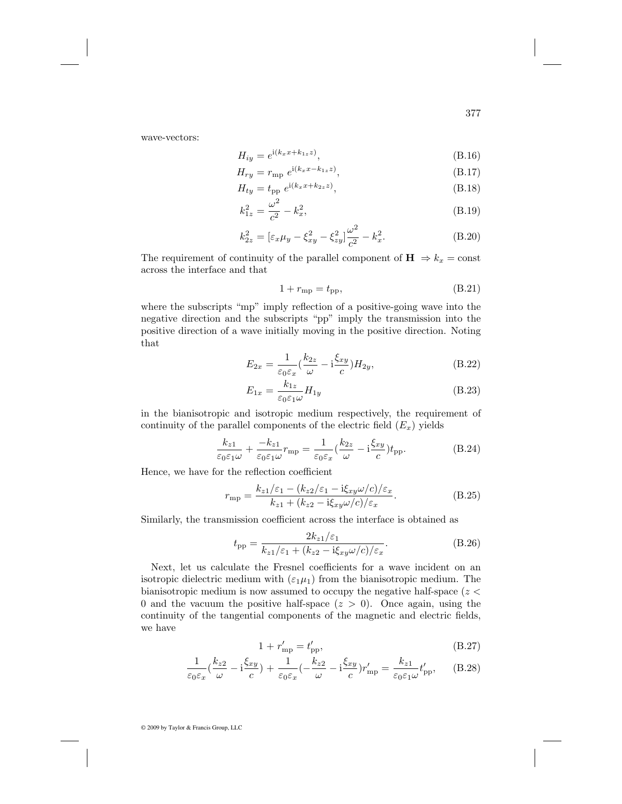wave-vectors:

$$
H_{iy} = e^{i(k_x x + k_{1z} z)},\tag{B.16}
$$

$$
H_{ry} = r_{\rm mp} e^{i(k_x x - k_{1z} z)}, \tag{B.17}
$$

$$
H_{ty} = t_{\rm pp} e^{i(k_x x + k_{2z} z)}, \tag{B.18}
$$

$$
k_{1z}^2 = \frac{\omega^2}{c^2} - k_x^2,\tag{B.19}
$$

$$
k_{2z}^2 = \left[\varepsilon_x \mu_y - \xi_{xy}^2 - \xi_{zy}^2\right] \frac{\omega^2}{c^2} - k_x^2.
$$
 (B.20)

The requirement of continuity of the parallel component of  $\mathbf{H} \Rightarrow k_x = \text{const}$ across the interface and that

$$
1 + r_{\rm mp} = t_{\rm pp},\tag{B.21}
$$

where the subscripts "mp" imply reflection of a positive-going wave into the negative direction and the subscripts "pp" imply the transmission into the positive direction of a wave initially moving in the positive direction. Noting that

$$
E_{2x} = \frac{1}{\varepsilon_0 \varepsilon_x} \left(\frac{k_{2z}}{\omega} - i \frac{\xi_{xy}}{c}\right) H_{2y},\tag{B.22}
$$

$$
E_{1x} = \frac{k_{1z}}{\varepsilon_0 \varepsilon_1 \omega} H_{1y} \tag{B.23}
$$

in the bianisotropic and isotropic medium respectively, the requirement of continuity of the parallel components of the electric field  $(E_x)$  yields

$$
\frac{k_{z1}}{\varepsilon_0 \varepsilon_1 \omega} + \frac{-k_{z1}}{\varepsilon_0 \varepsilon_1 \omega} r_{\rm mp} = \frac{1}{\varepsilon_0 \varepsilon_x} \left(\frac{k_{2z}}{\omega} - i \frac{\xi_{xy}}{c}\right) t_{\rm pp}.\tag{B.24}
$$

Hence, we have for the reflection coefficient

$$
r_{\rm mp} = \frac{k_{z1}/\varepsilon_1 - (k_{z2}/\varepsilon_1 - i\xi_{xy}\omega/c)/\varepsilon_x}{k_{z1} + (k_{z2} - i\xi_{xy}\omega/c)/\varepsilon_x}.
$$
 (B.25)

Similarly, the transmission coefficient across the interface is obtained as

$$
t_{\rm pp} = \frac{2k_{z1}/\varepsilon_1}{k_{z1}/\varepsilon_1 + (k_{z2} - i\xi_{xy}\omega/c)/\varepsilon_x}.
$$
 (B.26)

Next, let us calculate the Fresnel coefficients for a wave incident on an isotropic dielectric medium with  $(\varepsilon_1\mu_1)$  from the bianisotropic medium. The bianisotropic medium is now assumed to occupy the negative half-space  $(z \leq$ 0 and the vacuum the positive half-space  $(z > 0)$ . Once again, using the continuity of the tangential components of the magnetic and electric fields, we have

$$
1 + r'_{\rm mp} = t'_{\rm pp},\tag{B.27}
$$

$$
\frac{1}{\varepsilon_0 \varepsilon_x} (\frac{k_{z2}}{\omega} - i \frac{\xi_{xy}}{c}) + \frac{1}{\varepsilon_0 \varepsilon_x} (-\frac{k_{z2}}{\omega} - i \frac{\xi_{xy}}{c}) r'_{mp} = \frac{k_{z1}}{\varepsilon_0 \varepsilon_1 \omega} t'_{pp}, \qquad (B.28)
$$